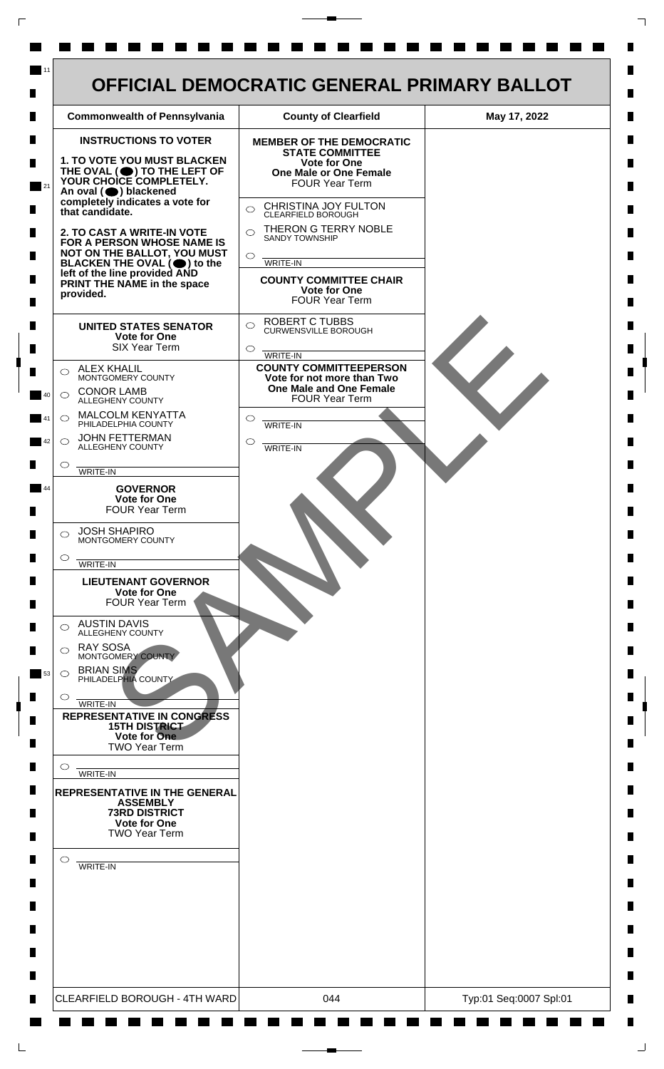

 $\mathsf{L}$